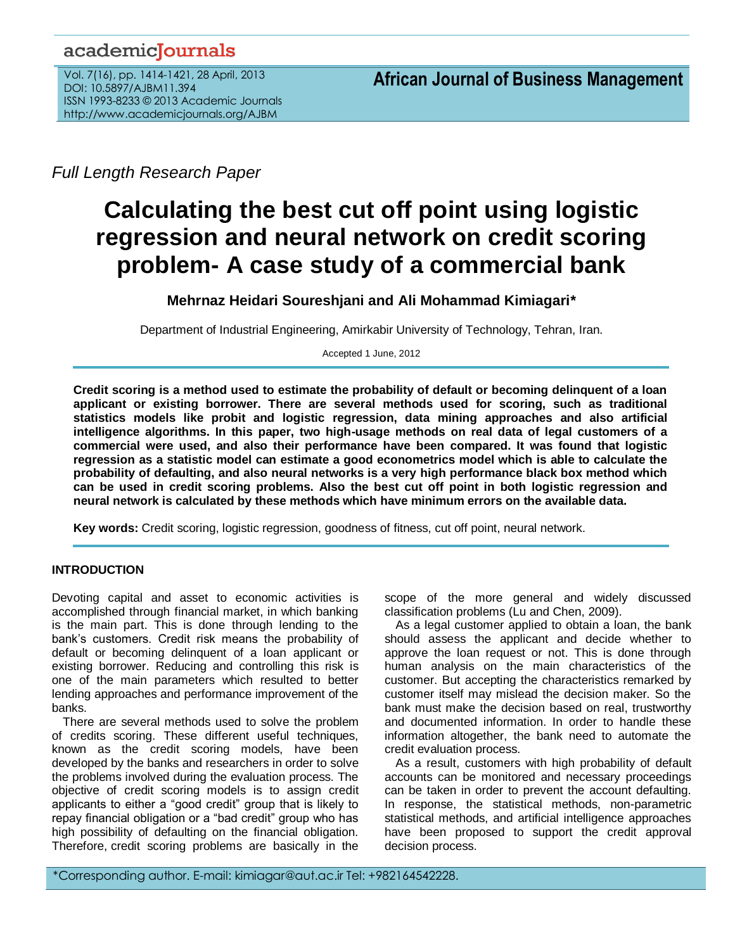# academicJournals

Vol. 7(16), pp. 1414-1421, 28 April, 2013 DOI: 10.5897/AJBM11.394 ISSN 1993-8233 © 2013 Academic Journals http://www.academicjournals.org/AJBM

*Full Length Research Paper*

# **Calculating the best cut off point using logistic regression and neural network on credit scoring problem- A case study of a commercial bank**

**Mehrnaz Heidari Soureshjani and Ali Mohammad Kimiagari\***

Department of Industrial Engineering, Amirkabir University of Technology, Tehran, Iran.

Accepted 1 June, 2012

**Credit scoring is a method used to estimate the probability of default or becoming delinquent of a loan applicant or existing borrower. There are several methods used for scoring, such as traditional statistics models like probit and logistic regression, data mining approaches and also artificial intelligence algorithms. In this paper, two high-usage methods on real data of legal customers of a commercial were used, and also their performance have been compared. It was found that logistic regression as a statistic model can estimate a good econometrics model which is able to calculate the probability of defaulting, and also neural networks is a very high performance black box method which can be used in credit scoring problems. Also the best cut off point in both logistic regression and neural network is calculated by these methods which have minimum errors on the available data.**

**Key words:** Credit scoring, logistic regression, goodness of fitness, cut off point, neural network.

# **INTRODUCTION**

Devoting capital and asset to economic activities is accomplished through financial market, in which banking is the main part. This is done through lending to the bank"s customers. Credit risk means the probability of default or becoming delinquent of a loan applicant or existing borrower. Reducing and controlling this risk is one of the main parameters which resulted to better lending approaches and performance improvement of the banks.

There are several methods used to solve the problem of credits scoring. These different useful techniques, known as the credit scoring models, have been developed by the banks and researchers in order to solve the problems involved during the evaluation process. The objective of credit scoring models is to assign credit applicants to either a "good credit" group that is likely to repay financial obligation or a "bad credit" group who has high possibility of defaulting on the financial obligation. Therefore, credit scoring problems are basically in the

scope of the more general and widely discussed classification problems (Lu and Chen, 2009).

As a legal customer applied to obtain a loan, the bank should assess the applicant and decide whether to approve the loan request or not. This is done through human analysis on the main characteristics of the customer. But accepting the characteristics remarked by customer itself may mislead the decision maker. So the bank must make the decision based on real, trustworthy and documented information. In order to handle these information altogether, the bank need to automate the credit evaluation process.

As a result, customers with high probability of default accounts can be monitored and necessary proceedings can be taken in order to prevent the account defaulting. In response, the statistical methods, non-parametric statistical methods, and artificial intelligence approaches have been proposed to support the credit approval decision process.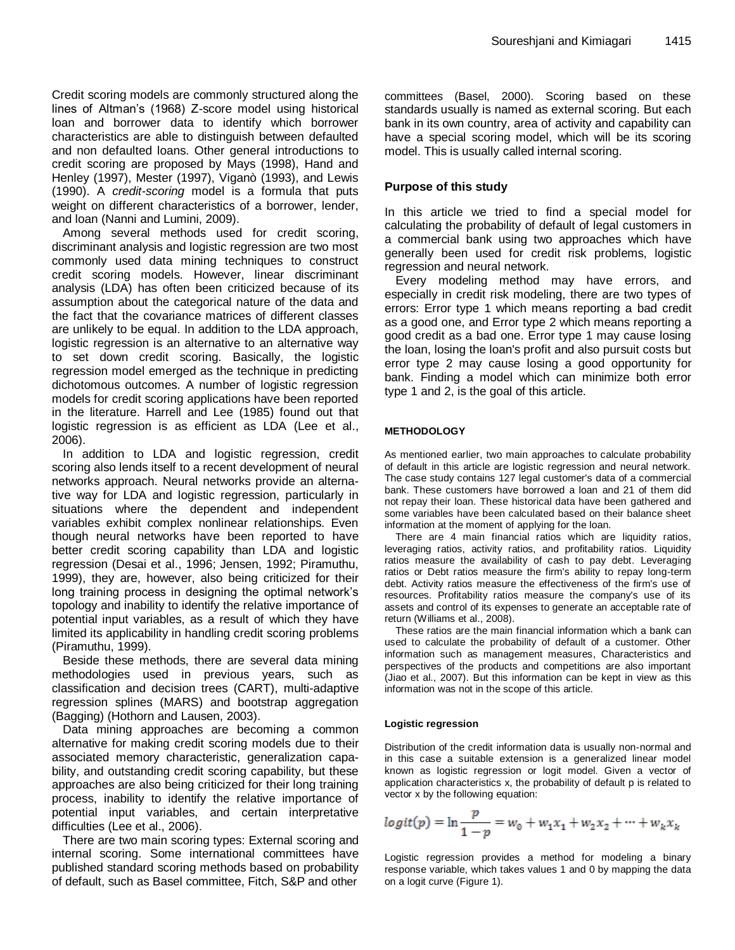Credit scoring models are commonly structured along the lines of Altman"s (1968) Z-score model using historical loan and borrower data to identify which borrower characteristics are able to distinguish between defaulted and non defaulted loans. Other general introductions to credit scoring are proposed by Mays (1998), Hand and Henley (1997), Mester (1997), Viganò (1993), and Lewis (1990). A *credit-scoring* model is a formula that puts weight on different characteristics of a borrower, lender, and loan (Nanni and Lumini, 2009).

Among several methods used for credit scoring, discriminant analysis and logistic regression are two most commonly used data mining techniques to construct credit scoring models. However, linear discriminant analysis (LDA) has often been criticized because of its assumption about the categorical nature of the data and the fact that the covariance matrices of different classes are unlikely to be equal. In addition to the LDA approach, logistic regression is an alternative to an alternative way to set down credit scoring. Basically, the logistic regression model emerged as the technique in predicting dichotomous outcomes. A number of logistic regression models for credit scoring applications have been reported in the literature. Harrell and Lee (1985) found out that logistic regression is as efficient as LDA (Lee et al., 2006).

In addition to LDA and logistic regression, credit scoring also lends itself to a recent development of neural networks approach. Neural networks provide an alternative way for LDA and logistic regression, particularly in situations where the dependent and independent variables exhibit complex nonlinear relationships. Even though neural networks have been reported to have better credit scoring capability than LDA and logistic regression (Desai et al., 1996; Jensen, 1992; Piramuthu, 1999), they are, however, also being criticized for their long training process in designing the optimal network"s topology and inability to identify the relative importance of potential input variables, as a result of which they have limited its applicability in handling credit scoring problems (Piramuthu, 1999).

Beside these methods, there are several data mining methodologies used in previous years, such as classification and decision trees (CART), multi-adaptive regression splines (MARS) and bootstrap aggregation (Bagging) (Hothorn and Lausen, 2003).

Data mining approaches are becoming a common alternative for making credit scoring models due to their associated memory characteristic, generalization capability, and outstanding credit scoring capability, but these approaches are also being criticized for their long training process, inability to identify the relative importance of potential input variables, and certain interpretative difficulties (Lee et al., 2006).

There are two main scoring types: External scoring and internal scoring. Some international committees have published standard scoring methods based on probability of default, such as Basel committee, Fitch, S&P and other committees (Basel, 2000). Scoring based on these standards usually is named as external scoring. But each bank in its own country, area of activity and capability can have a special scoring model, which will be its scoring model. This is usually called internal scoring.

## **Purpose of this study**

In this article we tried to find a special model for calculating the probability of default of legal customers in a commercial bank using two approaches which have generally been used for credit risk problems, logistic regression and neural network.

Every modeling method may have errors, and especially in credit risk modeling, there are two types of errors: Error type 1 which means reporting a bad credit as a good one, and Error type 2 which means reporting a good credit as a bad one. Error type 1 may cause losing the loan, losing the loan's profit and also pursuit costs but error type 2 may cause losing a good opportunity for bank. Finding a model which can minimize both error type 1 and 2, is the goal of this article.

### **METHODOLOGY**

As mentioned earlier, two main approaches to calculate probability of default in this article are logistic regression and neural network. The case study contains 127 legal customer's data of a commercial bank. These customers have borrowed a loan and 21 of them did not repay their loan. These historical data have been gathered and some variables have been calculated based on their balance sheet information at the moment of applying for the loan.

There are 4 main financial ratios which are liquidity ratios, leveraging ratios, activity ratios, and profitability ratios. Liquidity ratios measure the availability of cash to pay debt. Leveraging ratios or Debt ratios measure the firm's ability to repay long-term debt. Activity ratios measure the effectiveness of the firm's use of resources. Profitability ratios measure the company's use of its assets and control of its expenses to generate an acceptable rate of return (Williams et al., 2008).

These ratios are the main financial information which a bank can used to calculate the probability of default of a customer. Other information such as management measures, Characteristics and perspectives of the products and competitions are also important (Jiao et al., 2007). But this information can be kept in view as this information was not in the scope of this article.

#### **Logistic regression**

Distribution of the credit information data is usually non-normal and in this case a suitable extension is a generalized linear model known as logistic regression or logit model. Given a vector of application characteristics x, the probability of default p is related to vector x by the following equation:

$$
logit(p) = \ln \frac{p}{1-p} = w_0 + w_1 x_1 + w_2 x_2 + \dots + w_k x_k
$$

Logistic regression provides a method for modeling a binary response variable, which takes values 1 and 0 by mapping the data on a logit curve (Figure 1).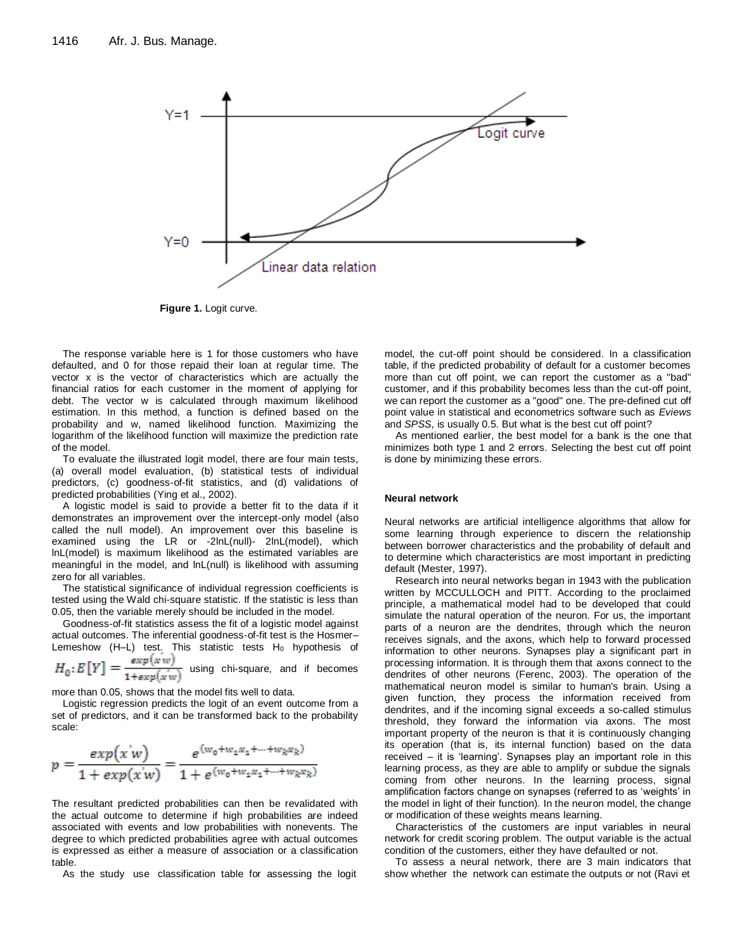

**Figure 1.** Logit curve.

The response variable here is 1 for those customers who have defaulted, and 0 for those repaid their loan at regular time. The vector x is the vector of characteristics which are actually the financial ratios for each customer in the moment of applying for debt. The vector w is calculated through maximum likelihood estimation. In this method, a function is defined based on the probability and w, named likelihood function. Maximizing the logarithm of the likelihood function will maximize the prediction rate of the model.

To evaluate the illustrated logit model, there are four main tests, (a) overall model evaluation, (b) statistical tests of individual predictors, (c) goodness-of-fit statistics, and (d) validations of predicted probabilities (Ying et al., 2002).

A logistic model is said to provide a better fit to the data if it demonstrates an improvement over the intercept-only model (also called the null model). An improvement over this baseline is examined using the LR or -2lnL(null)- 2lnL(model), which lnL(model) is maximum likelihood as the estimated variables are meaningful in the model, and lnL(null) is likelihood with assuming zero for all variables.

The statistical significance of individual regression coefficients is tested using the Wald chi-square statistic. If the statistic is less than 0.05, then the variable merely should be included in the model.

Goodness-of-fit statistics assess the fit of a logistic model against actual outcomes. The inferential goodness-of-fit test is the Hosmer–

Lemeshow (H–L) test. This statistic tests H<sub>0</sub> hypothesis of  $H_0$ :  $E[Y] = \frac{exp(x|w)}{1 + exp(x|w)}$  using chi-square, and if becomes using chi-square, and if becomes

more than 0.05, shows that the model fits well to data.

Logistic regression predicts the logit of an event outcome from a set of predictors, and it can be transformed back to the probability scale:

$$
p = \frac{exp(x'w)}{1 + exp(x'w)} = \frac{e^{(w_0 + w_1x_1 + \dots + w_kx_k)}}{1 + e^{(w_0 + w_1x_1 + \dots + w_kx_k)}}
$$

The resultant predicted probabilities can then be revalidated with the actual outcome to determine if high probabilities are indeed associated with events and low probabilities with nonevents. The degree to which predicted probabilities agree with actual outcomes is expressed as either a measure of association or a classification table.

As the study use classification table for assessing the logit

model, the cut-off point should be considered. In a classification table, if the predicted probability of default for a customer becomes more than cut off point, we can report the customer as a "bad" customer, and if this probability becomes less than the cut-off point, we can report the customer as a "good" one. The pre-defined cut off point value in statistical and econometrics software such as *Eviews* and *SPSS*, is usually 0.5. But what is the best cut off point?

As mentioned earlier, the best model for a bank is the one that minimizes both type 1 and 2 errors. Selecting the best cut off point is done by minimizing these errors.

#### **Neural network**

Neural networks are artificial intelligence algorithms that allow for some learning through experience to discern the relationship between borrower characteristics and the probability of default and to determine which characteristics are most important in predicting default (Mester, 1997).

Research into neural networks began in 1943 with the publication written by MCCULLOCH and PITT. According to the proclaimed principle, a mathematical model had to be developed that could simulate the natural operation of the neuron. For us, the important parts of a neuron are the dendrites, through which the neuron receives signals, and the axons, which help to forward processed information to other neurons. Synapses play a significant part in processing information. It is through them that axons connect to the dendrites of other neurons (Ferenc, 2003). The operation of the mathematical neuron model is similar to human's brain. Using a given function, they process the information received from dendrites, and if the incoming signal exceeds a so-called stimulus threshold, they forward the information via axons. The most important property of the neuron is that it is continuously changing its operation (that is, its internal function) based on the data received – it is "learning". Synapses play an important role in this learning process, as they are able to amplify or subdue the signals coming from other neurons. In the learning process, signal amplification factors change on synapses (referred to as "weights" in the model in light of their function). In the neuron model, the change or modification of these weights means learning.

Characteristics of the customers are input variables in neural network for credit scoring problem. The output variable is the actual condition of the customers, either they have defaulted or not.

To assess a neural network, there are 3 main indicators that show whether the network can estimate the outputs or not (Ravi et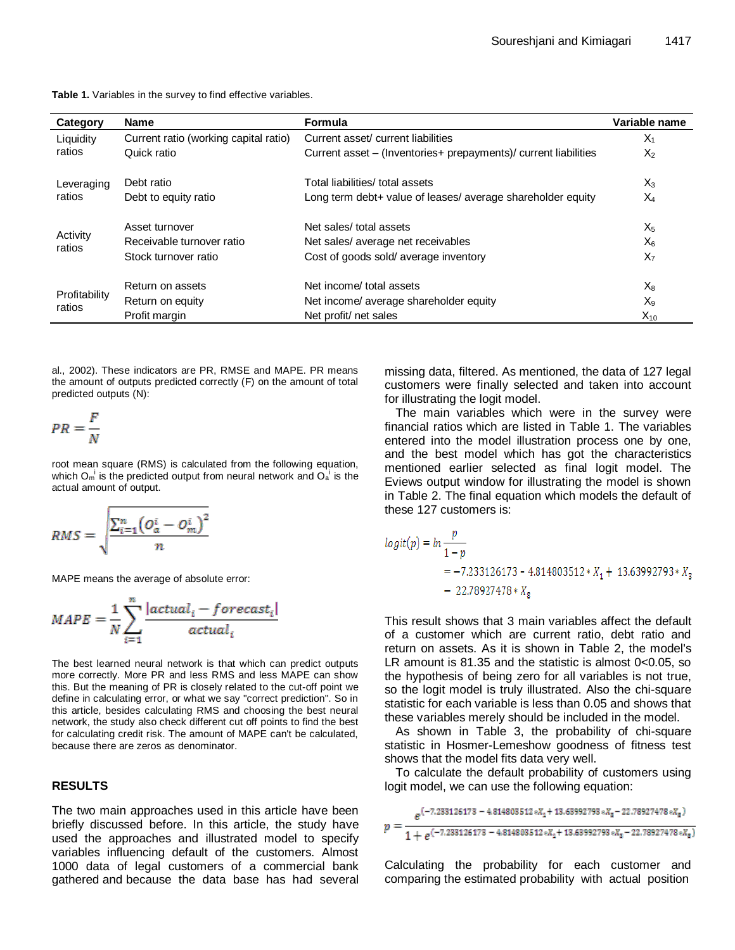**Table 1.** Variables in the survey to find effective variables.

| Category                | <b>Name</b>                           | <b>Formula</b>                                                  | Variable name |
|-------------------------|---------------------------------------|-----------------------------------------------------------------|---------------|
| Liquidity               | Current ratio (working capital ratio) | Current asset/ current liabilities                              | $X_1$         |
| ratios                  | Quick ratio                           | Current asset – (Inventories+ prepayments)/ current liabilities | $X_2$         |
| Leveraging              | Debt ratio                            | Total liabilities/ total assets                                 | $X_3$         |
| ratios                  | Debt to equity ratio                  | Long term debt+ value of leases/ average shareholder equity     |               |
|                         | Asset turnover                        | Net sales/total assets                                          | $X_5$         |
| Activity<br>ratios      | Receivable turnover ratio             | Net sales/average net receivables                               | $X_6$         |
|                         | Stock turnover ratio                  | Cost of goods sold/average inventory                            | $X_7$         |
|                         | Return on assets                      | Net income/ total assets                                        | $X_8$         |
| Profitability<br>ratios | Return on equity                      | Net income/ average shareholder equity                          | $X_{9}$       |
|                         | Profit margin                         | Net profit/ net sales                                           | $X_{10}$      |

al., 2002). These indicators are PR, RMSE and MAPE. PR means the amount of outputs predicted correctly (F) on the amount of total predicted outputs (N):

$$
PR = \frac{F}{N}
$$

root mean square (RMS) is calculated from the following equation, which  $O_m$  is the predicted output from neural network and  $O_a$  is the actual amount of output.

$$
RMS = \sqrt{\frac{\sum_{i=1}^{n} (O_a^i - O_m^i)^2}{n}}
$$

MAPE means the average of absolute error:

$$
MAPE = \frac{1}{N} \sum_{i=1}^{n} \frac{|actual_i - forecast_i|}{actual_i}
$$

The best learned neural network is that which can predict outputs more correctly. More PR and less RMS and less MAPE can show this. But the meaning of PR is closely related to the cut-off point we define in calculating error, or what we say "correct prediction". So in this article, besides calculating RMS and choosing the best neural network, the study also check different cut off points to find the best for calculating credit risk. The amount of MAPE can't be calculated, because there are zeros as denominator.

#### **RESULTS**

The two main approaches used in this article have been briefly discussed before. In this article, the study have used the approaches and illustrated model to specify variables influencing default of the customers. Almost 1000 data of legal customers of a commercial bank gathered and because the data base has had several missing data, filtered. As mentioned, the data of 127 legal customers were finally selected and taken into account for illustrating the logit model.

The main variables which were in the survey were financial ratios which are listed in Table 1. The variables entered into the model illustration process one by one, and the best model which has got the characteristics mentioned earlier selected as final logit model. The Eviews output window for illustrating the model is shown in Table 2. The final equation which models the default of these 127 customers is:

$$
logit(p) = ln \frac{p}{1-p}
$$
  
= -7.233126173 - 4.814803512 \* X<sub>1</sub> + 13.63992793 \* X<sub>3</sub>  
- 22.78927478 \* X<sub>8</sub>

This result shows that 3 main variables affect the default of a customer which are current ratio, debt ratio and return on assets. As it is shown in Table 2, the model's LR amount is 81.35 and the statistic is almost 0<0.05, so the hypothesis of being zero for all variables is not true, so the logit model is truly illustrated. Also the chi-square statistic for each variable is less than 0.05 and shows that these variables merely should be included in the model.

As shown in Table 3, the probability of chi-square statistic in Hosmer-Lemeshow goodness of fitness test shows that the model fits data very well.

To calculate the default probability of customers using logit model, we can use the following equation:

 $e^{(-7.233126173\; -\; 4.814803512\; *X_1 +\; 13.63992793\; *X_8 -\; 22.78927478\; *X_8)}$  $1 + e^{(-7.233126173 - 4.814803512 \cdot x_{1} + 13.63992793 \cdot x_{2} - 22.78927478 \cdot x_{8})}$ 

Calculating the probability for each customer and comparing the estimated probability with actual position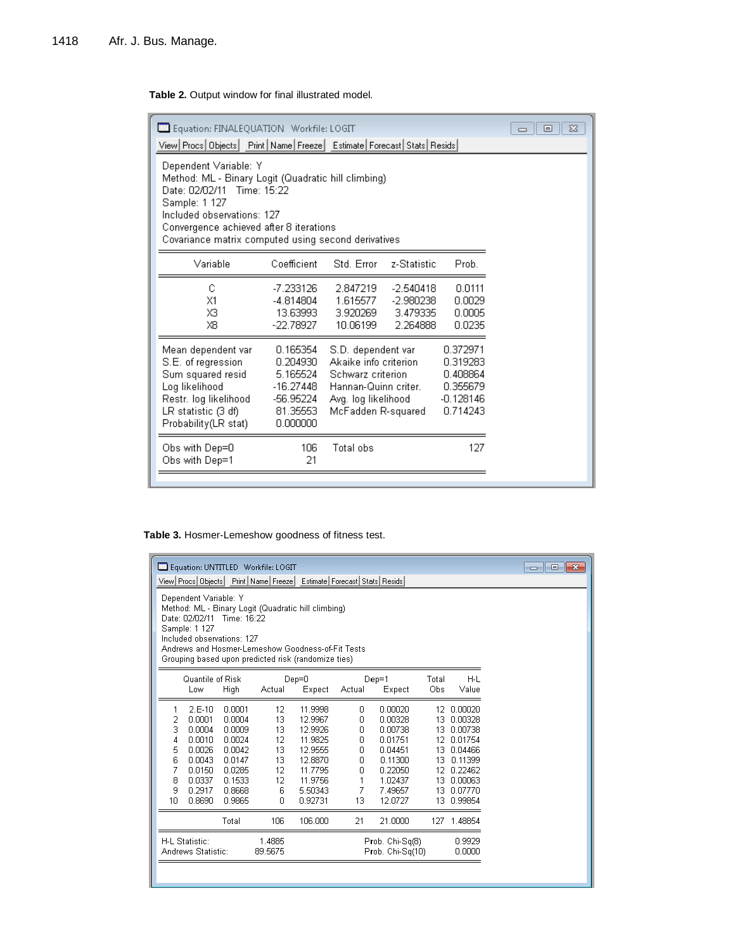|  |  | Table 2. Output window for final illustrated model. |
|--|--|-----------------------------------------------------|
|--|--|-----------------------------------------------------|

| En Equation: FINALEQUATION Workfile: LOGIT<br>$\Sigma$<br>回<br>$\Box$<br>View Procs Objects Print Name Freeze Estimate Forecast Stats Resids                                                                                                                                                                                                                                                                                                                        |             |            |             |       |  |  |  |  |  |
|---------------------------------------------------------------------------------------------------------------------------------------------------------------------------------------------------------------------------------------------------------------------------------------------------------------------------------------------------------------------------------------------------------------------------------------------------------------------|-------------|------------|-------------|-------|--|--|--|--|--|
| Dependent Variable: Y<br>Method: ML - Binary Logit (Quadratic hill climbing).<br>Date: 02/02/11<br>Time: 15:22<br>Sample: 1 127<br>Included observations: 127<br>Convergence achieved after 8 iterations<br>Covariance matrix computed using second derivatives                                                                                                                                                                                                     |             |            |             |       |  |  |  |  |  |
| Variable                                                                                                                                                                                                                                                                                                                                                                                                                                                            | Coefficient | Std. Error | z-Statistic | Prob. |  |  |  |  |  |
| С<br>0.0111<br>-7.233126<br>2.847219<br>$-2.540418$<br>Х1<br>-4.814804<br>1.615577<br>$-2.980238$<br>0.0029<br>XЗ<br>13.63993<br>3.920269<br>3.479335<br>0.0005<br>XВ<br>10.06199<br>$-22.78927$<br>2.264888<br>0.0235                                                                                                                                                                                                                                              |             |            |             |       |  |  |  |  |  |
| S.D. dependent var<br>0.372971<br>Mean dependent var<br>0.165354<br>Akaike info criterion<br>S.E. of regression<br>0.204930<br>0.319283<br>Sum squared resid<br>5.165524<br>Schwarz criterion<br>0.408864<br>Log likelihood<br>$-16.27448$<br>Hannan-Quinn criter.<br>0.355679<br>Restr. log likelihood<br>-56.95224<br>$-0.128146$<br>Avg. log likelihood<br>81.35553<br>LR statistic (3 df)<br>0.714243<br>McFadden R-squared<br>0.000000<br>Probability(LR stat) |             |            |             |       |  |  |  |  |  |
| 106<br>Total obs<br>127<br>Obs with Dep=0<br>21<br>Obs with Dep=1                                                                                                                                                                                                                                                                                                                                                                                                   |             |            |             |       |  |  |  |  |  |

**Table 3.** Hosmer-Lemeshow goodness of fitness test.

|                                                                                                                      |                                                                                     |                                                                                        |                                      | Equation: UNTITLED Workfile: LOGIT |                                                                                                                                                                 |                   |                                          |                        |                                          |  | $\begin{array}{c c c c c c c c c} \hline \multicolumn{3}{c }{\mathbf{C}} & \multicolumn{3}{c }{\mathbf{R}} \\ \hline \multicolumn{3}{c }{\mathbf{C}} & \multicolumn{3}{c }{\mathbf{C}} & \multicolumn{3}{c }{\mathbf{R}} \\ \hline \multicolumn{3}{c }{\mathbf{D}} & \multicolumn{3}{c }{\mathbf{D}} & \multicolumn{3}{c }{\mathbf{R}} \\ \hline \multicolumn{3}{c }{\mathbf{D}} & \multicolumn{3}{c }{\mathbf{D}} & \multicolumn{3}{c }{\mathbf{M$ |
|----------------------------------------------------------------------------------------------------------------------|-------------------------------------------------------------------------------------|----------------------------------------------------------------------------------------|--------------------------------------|------------------------------------|-----------------------------------------------------------------------------------------------------------------------------------------------------------------|-------------------|------------------------------------------|------------------------|------------------------------------------|--|-----------------------------------------------------------------------------------------------------------------------------------------------------------------------------------------------------------------------------------------------------------------------------------------------------------------------------------------------------------------------------------------------------------------------------------------------------|
|                                                                                                                      | View Procs   Objects   Print   Name   Freeze   Estimate   Forecast   Stats   Resids |                                                                                        |                                      |                                    |                                                                                                                                                                 |                   |                                          |                        |                                          |  |                                                                                                                                                                                                                                                                                                                                                                                                                                                     |
|                                                                                                                      |                                                                                     | Dependent Variable: Y<br>Date: 02/02/11<br>Sample: 1 127<br>Included observations: 127 | Time: 16:22                          |                                    | Method: ML - Binary Logit (Quadratic hill climbing)<br>Andrews and Hosmer-Lemeshow Goodness-of-Fit Tests<br>Grouping based upon predicted risk (randomize ties) |                   |                                          |                        |                                          |  |                                                                                                                                                                                                                                                                                                                                                                                                                                                     |
|                                                                                                                      |                                                                                     | Quantile of Risk<br>Low                                                                | High                                 | Actual                             | $Dep=0$<br>Expect                                                                                                                                               | Actual            | $Dep=1$<br>Expect                        | Total<br>Obs           | H-L<br>Value                             |  |                                                                                                                                                                                                                                                                                                                                                                                                                                                     |
|                                                                                                                      | 1<br>2<br>3                                                                         | $2.E-10$<br>0.0001<br>0.0004                                                           | 0.0001<br>0.0004<br>0.0009           | 12<br>13<br>13                     | 11.9998<br>12.9967<br>12.9926                                                                                                                                   | 0<br>0<br>0       | 0.00020<br>0.00328<br>0.00738            | 12.<br>13<br>13.       | 0.00020<br>0.00328<br>0.00738            |  |                                                                                                                                                                                                                                                                                                                                                                                                                                                     |
|                                                                                                                      | 4<br>5<br>6<br>7                                                                    | 0.0010<br>0.0026<br>0.0043<br>0.0150                                                   | 0.0024<br>0.0042<br>0.0147<br>0.0285 | 12<br>13<br>13<br>12               | 11.9825<br>12.9555<br>12.8870<br>11.7795                                                                                                                        | 0<br>0.<br>0<br>0 | 0.01751<br>0.04451<br>0.11300<br>0.22050 | 12.<br>13<br>13<br>12. | 0.01754<br>0.04466<br>0.11399<br>0.22462 |  |                                                                                                                                                                                                                                                                                                                                                                                                                                                     |
|                                                                                                                      | 8<br>9<br>10 <sup>1</sup>                                                           | 0.0337<br>0.2917<br>0.8690                                                             | 0.1533<br>0.8668<br>0.9865           | 12<br>6<br>0                       | 11.9756<br>5.50343<br>0.92731                                                                                                                                   | 1<br>7<br>13      | 1.02437<br>7.49657<br>12.0727            | 13.<br>13.<br>13.      | 0.00063<br>0.07770<br>0.99854            |  |                                                                                                                                                                                                                                                                                                                                                                                                                                                     |
|                                                                                                                      |                                                                                     |                                                                                        | Total                                | 106                                | 106,000                                                                                                                                                         | 21                | 21.0000                                  | 127                    | 1.48854                                  |  |                                                                                                                                                                                                                                                                                                                                                                                                                                                     |
| H-L Statistic:<br>1.4885<br>0.9929<br>Prob. Chi-Sq(8)<br>Prob. Chi-Sq(10)<br>Andrews Statistic:<br>89.5675<br>0.0000 |                                                                                     |                                                                                        |                                      |                                    |                                                                                                                                                                 |                   |                                          |                        |                                          |  |                                                                                                                                                                                                                                                                                                                                                                                                                                                     |
|                                                                                                                      |                                                                                     |                                                                                        |                                      |                                    |                                                                                                                                                                 |                   |                                          |                        |                                          |  |                                                                                                                                                                                                                                                                                                                                                                                                                                                     |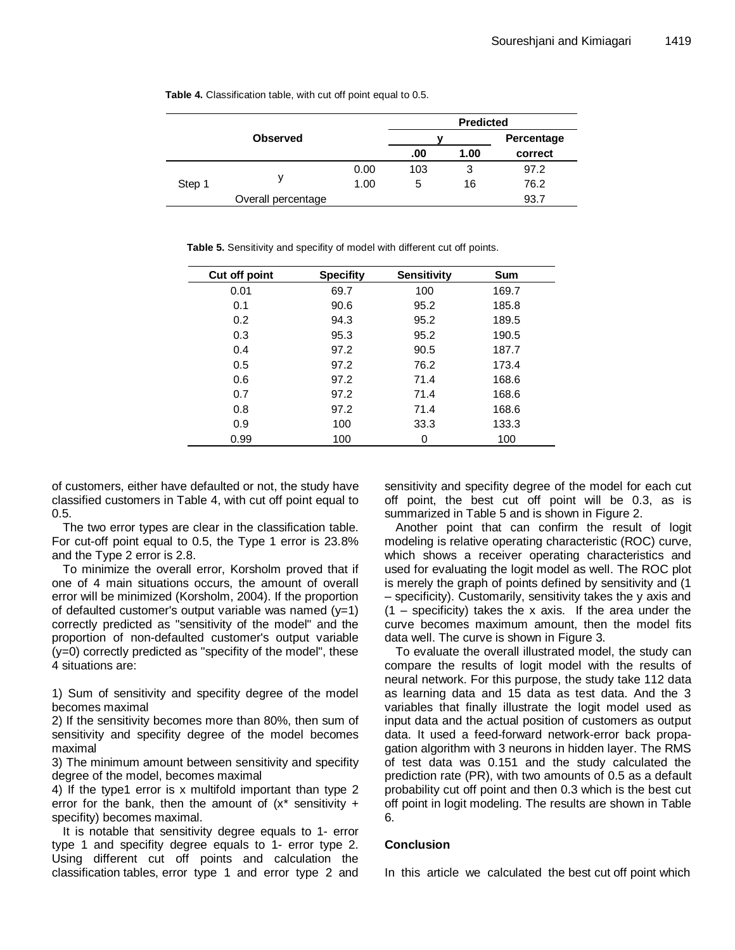|                 |                    | <b>Predicted</b> |     |      |            |  |
|-----------------|--------------------|------------------|-----|------|------------|--|
| <b>Observed</b> |                    |                  |     |      | Percentage |  |
|                 |                    |                  | .00 | 1.00 | correct    |  |
|                 |                    | 0.00             | 103 | 3    | 97.2       |  |
| Step 1          | ٧                  | 1.00             | 5   | 16   | 76.2       |  |
|                 | Overall percentage |                  |     |      | 93.7       |  |

**Table 4.** Classification table, with cut off point equal to 0.5.

**Table 5.** Sensitivity and specifity of model with different cut off points.

| Cut off point | <b>Specifity</b> | <b>Sensitivity</b> | <b>Sum</b> |
|---------------|------------------|--------------------|------------|
| 0.01          | 69.7             | 100                | 169.7      |
| 0.1           | 90.6             | 95.2               | 185.8      |
| 0.2           | 94.3             | 95.2               | 189.5      |
| 0.3           | 95.3             | 95.2               | 190.5      |
| 0.4           | 97.2             | 90.5               | 187.7      |
| 0.5           | 97.2             | 76.2               | 173.4      |
| 0.6           | 97.2             | 71.4               | 168.6      |
| 0.7           | 97.2             | 71.4               | 168.6      |
| 0.8           | 97.2             | 71.4               | 168.6      |
| 0.9           | 100              | 33.3               | 133.3      |
| 0.99          | 100              | 0                  | 100        |

of customers, either have defaulted or not, the study have classified customers in Table 4, with cut off point equal to 0.5.

The two error types are clear in the classification table. For cut-off point equal to 0.5, the Type 1 error is 23.8% and the Type 2 error is 2.8.

To minimize the overall error, Korsholm proved that if one of 4 main situations occurs, the amount of overall error will be minimized (Korsholm, 2004). If the proportion of defaulted customer's output variable was named  $(y=1)$ correctly predicted as "sensitivity of the model" and the proportion of non-defaulted customer's output variable  $(y=0)$  correctly predicted as "specifity of the model", these 4 situations are:

1) Sum of sensitivity and specifity degree of the model becomes maximal

2) If the sensitivity becomes more than 80%, then sum of sensitivity and specifity degree of the model becomes maximal

3) The minimum amount between sensitivity and specifity degree of the model, becomes maximal

4) If the type1 error is x multifold important than type 2 error for the bank, then the amount of  $(x^*)$  sensitivity + specifity) becomes maximal.

It is notable that sensitivity degree equals to 1- error type 1 and specifity degree equals to 1- error type 2. Using different cut off points and calculation the classification tables, error type 1 and error type 2 and sensitivity and specifity degree of the model for each cut off point, the best cut off point will be 0.3, as is summarized in Table 5 and is shown in Figure 2.

Another point that can confirm the result of logit modeling is relative operating characteristic (ROC) curve, which shows a receiver operating characteristics and used for evaluating the logit model as well. The ROC plot is merely the graph of points defined by sensitivity and (1 – specificity). Customarily, sensitivity takes the y axis and  $(1 -$  specificity) takes the x axis. If the area under the curve becomes maximum amount, then the model fits data well. The curve is shown in Figure 3.

To evaluate the overall illustrated model, the study can compare the results of logit model with the results of neural network. For this purpose, the study take 112 data as learning data and 15 data as test data. And the 3 variables that finally illustrate the logit model used as input data and the actual position of customers as output data. It used a feed-forward network-error back propagation algorithm with 3 neurons in hidden layer. The RMS of test data was 0.151 and the study calculated the prediction rate (PR), with two amounts of 0.5 as a default probability cut off point and then 0.3 which is the best cut off point in logit modeling. The results are shown in Table 6.

# **Conclusion**

In this article we calculated the best cut off point which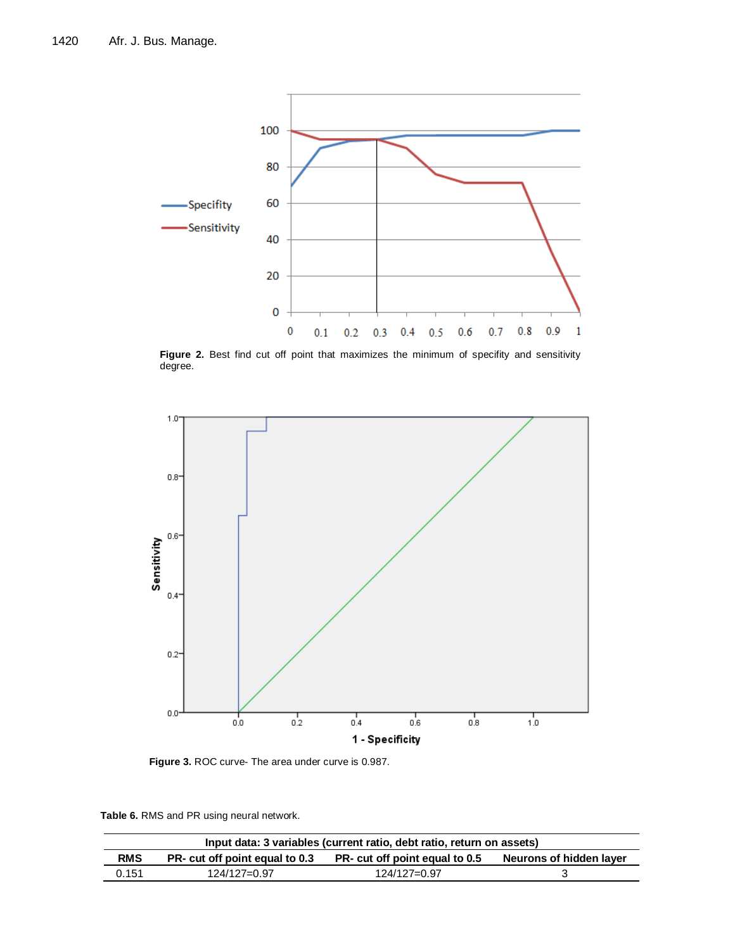

**Figure 2.** Best find cut off point that maximizes the minimum of specifity and sensitivity degree.



**Figure 3.** ROC curve- The area under curve is 0.987.

**Table 6.** RMS and PR using neural network.

| Input data: 3 variables (current ratio, debt ratio, return on assets) |                                                                                             |              |  |  |  |  |
|-----------------------------------------------------------------------|---------------------------------------------------------------------------------------------|--------------|--|--|--|--|
| <b>RMS</b>                                                            | PR- cut off point equal to 0.3<br>PR- cut off point equal to 0.5<br>Neurons of hidden layer |              |  |  |  |  |
| 0.151                                                                 | 124/127=0.97                                                                                | 124/127=0.97 |  |  |  |  |